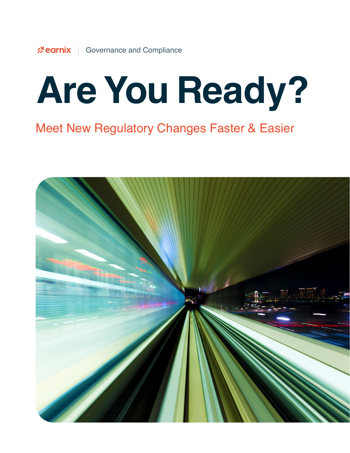# **Are You Ready?**

### Meet New Regulatory Changes Faster & Easier

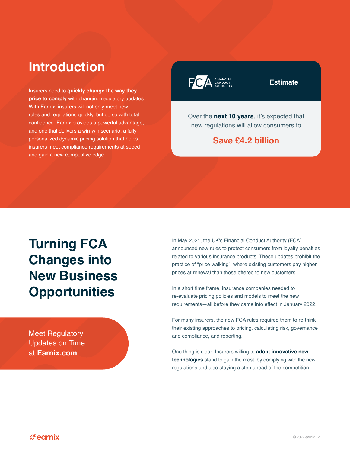### **Introduction**

Insurers need to **quickly change the way they price to comply** with changing regulatory updates. With Earnix, insurers will not only meet new rules and regulations quickly, but do so with total confidence. Earnix provides a powerful advantage, and one that delivers a win-win scenario: a fully personalized dynamic pricing solution that helps insurers meet compliance requirements at speed and gain a new competitive edge.



#### **Estimate**

Over the **next 10 years**, it's expected that new regulations will allow consumers to

#### **Save £4.2 billion**

### **Turning FCA Changes into New Business Opportunities**

Meet Regulatory [Updates on Time](https://earnix.com/)  at **Earnix.com**

In May 2021, the UK's Financial Conduct Authority (FCA) announced new rules to protect consumers from loyalty penalties related to various insurance products. These updates prohibit the practice of "price walking", where existing customers pay higher prices at renewal than those offered to new customers.

In a short time frame, insurance companies needed to re-evaluate pricing policies and models to meet the new requirements—all before they came into effect in January 2022.

For many insurers, the new FCA rules required them to re-think their existing approaches to pricing, calculating risk, governance and compliance, and reporting.

One thing is clear: Insurers willing to **adopt innovative new technologies** stand to gain the most, by complying with the new regulations and also staying a step ahead of the competition.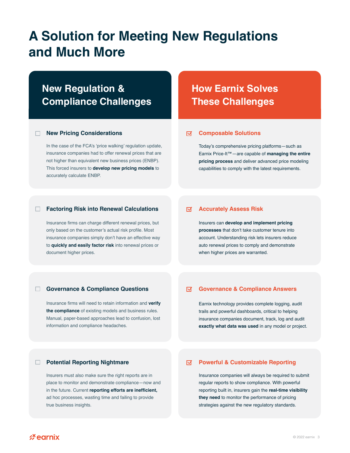### **A Solution for Meeting New Regulations and Much More**

### **New Regulation & Compliance Challenges**

#### **New Pricing Considerations** n.

In the case of the FCA's 'price walking' regulation update, insurance companies had to offer renewal prices that are not higher than equivalent new business prices (ENBP). This forced insurers to **develop new pricing models** to accurately calculate ENBP.

#### $\Box$ **Factoring Risk into Renewal Calculations**

Insurance firms can charge different renewal prices, but only based on the customer's actual risk profile. Most insurance companies simply don't have an effective way to **quickly and easily factor risk** into renewal prices or document higher prices.

### **How Earnix Solves These Challenges**

#### **Composable Solutions** ज

Today's comprehensive pricing platforms—such as Earnix Price-It™—are capable of **managing the entire pricing process** and deliver advanced price modeling capabilities to comply with the latest requirements.

#### ज **Accurately Assess Risk**

Insurers can **develop and implement pricing processes** that don't take customer tenure into account. Understanding risk lets insurers reduce auto renewal prices to comply and demonstrate when higher prices are warranted.

#### $\Box$ **Governance & Compliance Questions**

Insurance firms will need to retain information and **verify the compliance** of existing models and business rules. Manual, paper-based approaches lead to confusion, lost information and compliance headaches.

#### $\overline{\mathbf{M}}$ **Governance & Compliance Answers**

Earnix technology provides complete logging, audit trails and powerful dashboards, critical to helping insurance companies document, track, log and audit **exactly what data was used** in any model or project.

#### **Potential Reporting Nightmare**

Insurers must also make sure the right reports are in place to monitor and demonstrate compliance—now and in the future. Current **reporting efforts are inefficient,** ad hoc processes, wasting time and failing to provide true business insights.

#### ☑ **Powerful & Customizable Reporting**

Insurance companies will always be required to submit regular reports to show compliance. With powerful reporting built in, insurers gain the **real-time visibility they need** to monitor the performance of pricing strategies against the new regulatory standards.

**必earnix**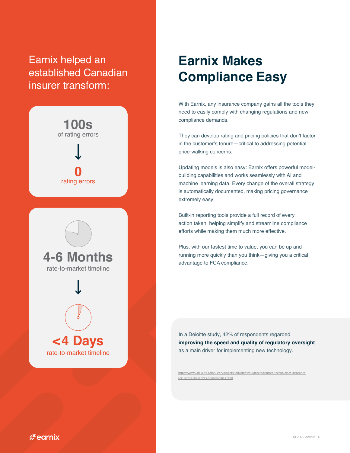### Earnix helped an established Canadian insurer transform:



### **Earnix Makes Compliance Easy**

With Earnix, any insurance company gains all the tools they need to easily comply with changing regulations and new compliance demands.

They can develop rating and pricing policies that don't factor in the customer's tenure—critical to addressing potential price-walking concerns.

Updating models is also easy: Earnix offers powerful modelbuilding capabilities and works seamlessly with AI and machine learning data. Every change of the overall strategy is automatically documented, making pricing governance extremely easy.

Built-in reporting tools provide a full record of every action taken, helping simplify and streamline compliance efforts while making them much more effective.

Plus, with our fastest time to value, you can be up and running more quickly than you think—giving you a critical advantage to FCA compliance.

In a Deloitte study, 42% of respondents regarded **improving the speed and quality of regulatory oversight**  as a main driver for implementing new technology.

[https://www2.deloitte.com/us/en/insights/industry/insurance/advanced-technologies-insurance](https://www2.deloitte.com/us/en/insights/industry/insurance/advanced-technologies-insurance-regulators-challenges-opportunities.html)[regulators-challenges-opportunities.html](https://www2.deloitte.com/us/en/insights/industry/insurance/advanced-technologies-insurance-regulators-challenges-opportunities.html)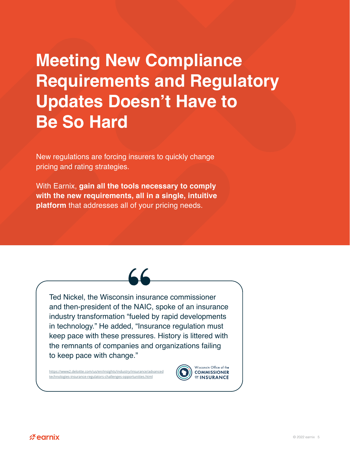### **Meeting New Compliance Requirements and Regulatory Updates Doesn't Have to Be So Hard**

New regulations are forcing insurers to quickly change pricing and rating strategies.

With Earnix, **gain all the tools necessary to comply with the new requirements, all in a single, intuitive platform** that addresses all of your pricing needs.



Ted Nickel, the Wisconsin insurance commissioner and then-president of the NAIC, spoke of an insurance industry transformation "fueled by rapid developments in technology." He added, "Insurance regulation must keep pace with these pressures. History is littered with the remnants of companies and organizations failing to keep pace with change."

[https://www2.deloitte.com/us/en/insights/industry/insurance/advanced](https://www2.deloitte.com/us/en/insights/industry/insurance/advanced-technologies-insurance-regulato) [technologies-insurance-regulators-challenges-opportunities.html](https://www2.deloitte.com/us/en/insights/industry/insurance/advanced-technologies-insurance-regulato)